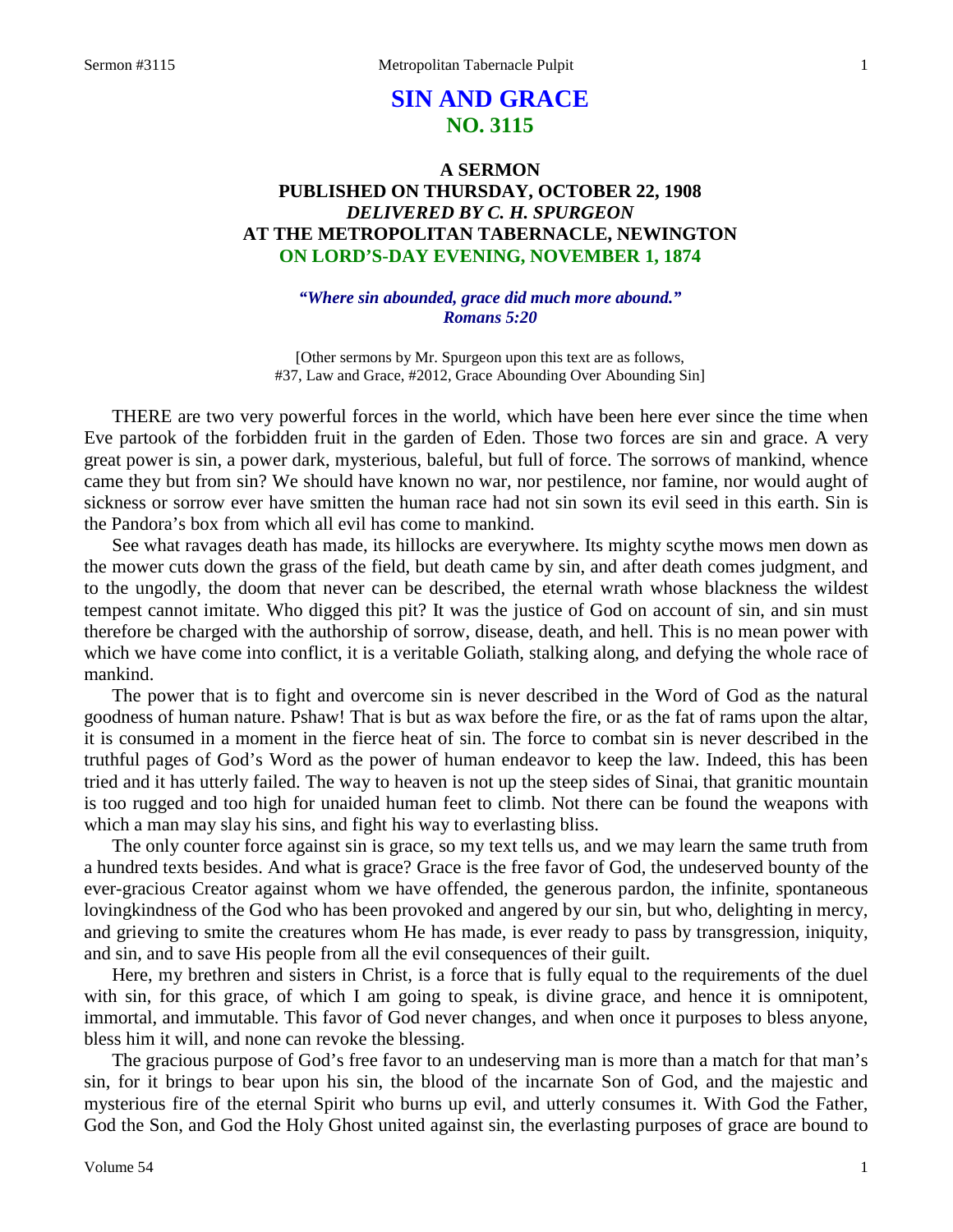# **SIN AND GRACE NO. 3115**

# **A SERMON PUBLISHED ON THURSDAY, OCTOBER 22, 1908** *DELIVERED BY C. H. SPURGEON* **AT THE METROPOLITAN TABERNACLE, NEWINGTON ON LORD'S-DAY EVENING, NOVEMBER 1, 1874**

#### *"Where sin abounded, grace did much more abound." Romans 5:20*

[Other sermons by Mr. Spurgeon upon this text are as follows, #37, Law and Grace, #2012, Grace Abounding Over Abounding Sin]

THERE are two very powerful forces in the world, which have been here ever since the time when Eve partook of the forbidden fruit in the garden of Eden. Those two forces are sin and grace. A very great power is sin, a power dark, mysterious, baleful, but full of force. The sorrows of mankind, whence came they but from sin? We should have known no war, nor pestilence, nor famine, nor would aught of sickness or sorrow ever have smitten the human race had not sin sown its evil seed in this earth. Sin is the Pandora's box from which all evil has come to mankind.

See what ravages death has made, its hillocks are everywhere. Its mighty scythe mows men down as the mower cuts down the grass of the field, but death came by sin, and after death comes judgment, and to the ungodly, the doom that never can be described, the eternal wrath whose blackness the wildest tempest cannot imitate. Who digged this pit? It was the justice of God on account of sin, and sin must therefore be charged with the authorship of sorrow, disease, death, and hell. This is no mean power with which we have come into conflict, it is a veritable Goliath, stalking along, and defying the whole race of mankind.

The power that is to fight and overcome sin is never described in the Word of God as the natural goodness of human nature. Pshaw! That is but as wax before the fire, or as the fat of rams upon the altar, it is consumed in a moment in the fierce heat of sin. The force to combat sin is never described in the truthful pages of God's Word as the power of human endeavor to keep the law. Indeed, this has been tried and it has utterly failed. The way to heaven is not up the steep sides of Sinai, that granitic mountain is too rugged and too high for unaided human feet to climb. Not there can be found the weapons with which a man may slay his sins, and fight his way to everlasting bliss.

The only counter force against sin is grace, so my text tells us, and we may learn the same truth from a hundred texts besides. And what is grace? Grace is the free favor of God, the undeserved bounty of the ever-gracious Creator against whom we have offended, the generous pardon, the infinite, spontaneous lovingkindness of the God who has been provoked and angered by our sin, but who, delighting in mercy, and grieving to smite the creatures whom He has made, is ever ready to pass by transgression, iniquity, and sin, and to save His people from all the evil consequences of their guilt.

Here, my brethren and sisters in Christ, is a force that is fully equal to the requirements of the duel with sin, for this grace, of which I am going to speak, is divine grace, and hence it is omnipotent, immortal, and immutable. This favor of God never changes, and when once it purposes to bless anyone, bless him it will, and none can revoke the blessing.

The gracious purpose of God's free favor to an undeserving man is more than a match for that man's sin, for it brings to bear upon his sin, the blood of the incarnate Son of God, and the majestic and mysterious fire of the eternal Spirit who burns up evil, and utterly consumes it. With God the Father, God the Son, and God the Holy Ghost united against sin, the everlasting purposes of grace are bound to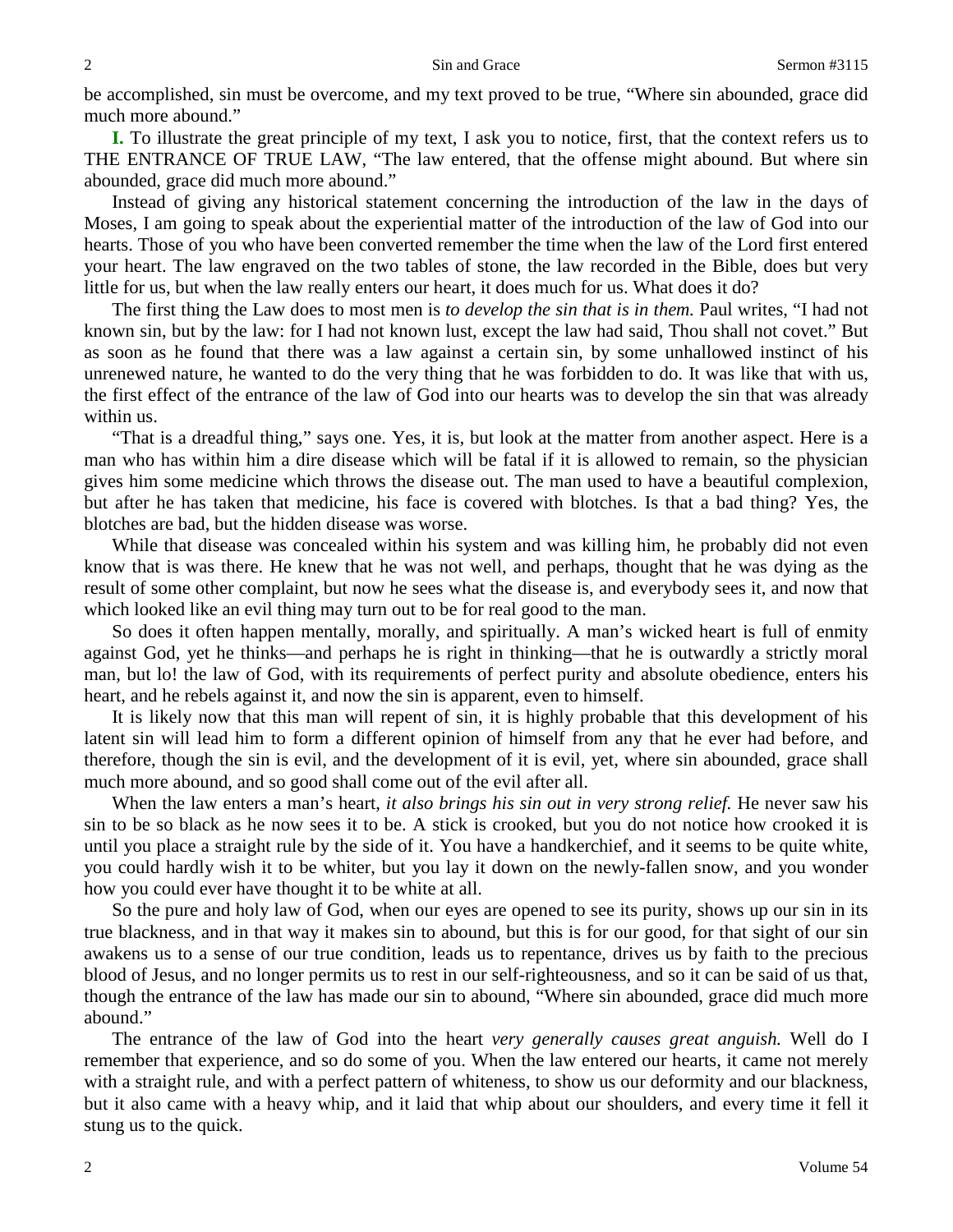be accomplished, sin must be overcome, and my text proved to be true, "Where sin abounded, grace did much more abound."

**I.** To illustrate the great principle of my text, I ask you to notice, first, that the context refers us to THE ENTRANCE OF TRUE LAW, "The law entered, that the offense might abound. But where sin abounded, grace did much more abound."

Instead of giving any historical statement concerning the introduction of the law in the days of Moses, I am going to speak about the experiential matter of the introduction of the law of God into our hearts. Those of you who have been converted remember the time when the law of the Lord first entered your heart. The law engraved on the two tables of stone, the law recorded in the Bible, does but very little for us, but when the law really enters our heart, it does much for us. What does it do?

The first thing the Law does to most men is *to develop the sin that is in them.* Paul writes, "I had not known sin, but by the law: for I had not known lust, except the law had said, Thou shall not covet." But as soon as he found that there was a law against a certain sin, by some unhallowed instinct of his unrenewed nature, he wanted to do the very thing that he was forbidden to do. It was like that with us, the first effect of the entrance of the law of God into our hearts was to develop the sin that was already within us.

"That is a dreadful thing," says one. Yes, it is, but look at the matter from another aspect. Here is a man who has within him a dire disease which will be fatal if it is allowed to remain, so the physician gives him some medicine which throws the disease out. The man used to have a beautiful complexion, but after he has taken that medicine, his face is covered with blotches. Is that a bad thing? Yes, the blotches are bad, but the hidden disease was worse.

While that disease was concealed within his system and was killing him, he probably did not even know that is was there. He knew that he was not well, and perhaps, thought that he was dying as the result of some other complaint, but now he sees what the disease is, and everybody sees it, and now that which looked like an evil thing may turn out to be for real good to the man.

So does it often happen mentally, morally, and spiritually. A man's wicked heart is full of enmity against God, yet he thinks—and perhaps he is right in thinking—that he is outwardly a strictly moral man, but lo! the law of God, with its requirements of perfect purity and absolute obedience, enters his heart, and he rebels against it, and now the sin is apparent, even to himself.

It is likely now that this man will repent of sin, it is highly probable that this development of his latent sin will lead him to form a different opinion of himself from any that he ever had before, and therefore, though the sin is evil, and the development of it is evil, yet, where sin abounded, grace shall much more abound, and so good shall come out of the evil after all.

When the law enters a man's heart, *it also brings his sin out in very strong relief*. He never saw his sin to be so black as he now sees it to be. A stick is crooked, but you do not notice how crooked it is until you place a straight rule by the side of it. You have a handkerchief, and it seems to be quite white, you could hardly wish it to be whiter, but you lay it down on the newly-fallen snow, and you wonder how you could ever have thought it to be white at all.

So the pure and holy law of God, when our eyes are opened to see its purity, shows up our sin in its true blackness, and in that way it makes sin to abound, but this is for our good, for that sight of our sin awakens us to a sense of our true condition, leads us to repentance, drives us by faith to the precious blood of Jesus, and no longer permits us to rest in our self-righteousness, and so it can be said of us that, though the entrance of the law has made our sin to abound, "Where sin abounded, grace did much more abound."

The entrance of the law of God into the heart *very generally causes great anguish.* Well do I remember that experience, and so do some of you. When the law entered our hearts, it came not merely with a straight rule, and with a perfect pattern of whiteness, to show us our deformity and our blackness, but it also came with a heavy whip, and it laid that whip about our shoulders, and every time it fell it stung us to the quick.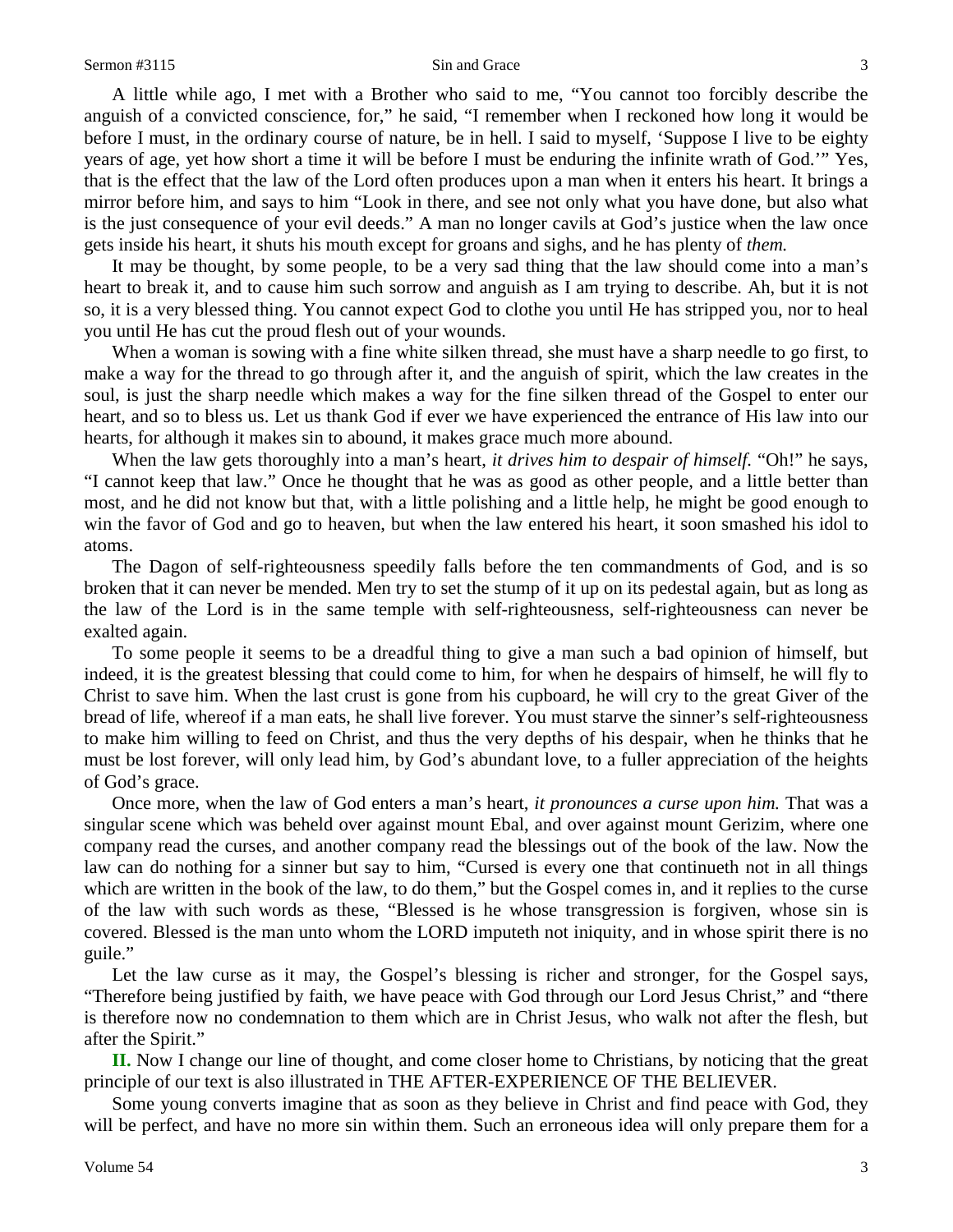A little while ago, I met with a Brother who said to me, "You cannot too forcibly describe the anguish of a convicted conscience, for," he said, "I remember when I reckoned how long it would be before I must, in the ordinary course of nature, be in hell. I said to myself, 'Suppose I live to be eighty years of age, yet how short a time it will be before I must be enduring the infinite wrath of God.'" Yes, that is the effect that the law of the Lord often produces upon a man when it enters his heart. It brings a mirror before him, and says to him "Look in there, and see not only what you have done, but also what is the just consequence of your evil deeds." A man no longer cavils at God's justice when the law once gets inside his heart, it shuts his mouth except for groans and sighs, and he has plenty of *them.* 

It may be thought, by some people, to be a very sad thing that the law should come into a man's heart to break it, and to cause him such sorrow and anguish as I am trying to describe. Ah, but it is not so, it is a very blessed thing. You cannot expect God to clothe you until He has stripped you, nor to heal you until He has cut the proud flesh out of your wounds.

When a woman is sowing with a fine white silken thread, she must have a sharp needle to go first, to make a way for the thread to go through after it, and the anguish of spirit, which the law creates in the soul, is just the sharp needle which makes a way for the fine silken thread of the Gospel to enter our heart, and so to bless us. Let us thank God if ever we have experienced the entrance of His law into our hearts, for although it makes sin to abound, it makes grace much more abound.

When the law gets thoroughly into a man's heart, *it drives him to despair of himself.* "Oh!" he says, "I cannot keep that law." Once he thought that he was as good as other people, and a little better than most, and he did not know but that, with a little polishing and a little help, he might be good enough to win the favor of God and go to heaven, but when the law entered his heart, it soon smashed his idol to atoms.

The Dagon of self-righteousness speedily falls before the ten commandments of God, and is so broken that it can never be mended. Men try to set the stump of it up on its pedestal again, but as long as the law of the Lord is in the same temple with self-righteousness, self-righteousness can never be exalted again.

To some people it seems to be a dreadful thing to give a man such a bad opinion of himself, but indeed, it is the greatest blessing that could come to him, for when he despairs of himself, he will fly to Christ to save him. When the last crust is gone from his cupboard, he will cry to the great Giver of the bread of life, whereof if a man eats, he shall live forever. You must starve the sinner's self-righteousness to make him willing to feed on Christ, and thus the very depths of his despair, when he thinks that he must be lost forever, will only lead him, by God's abundant love, to a fuller appreciation of the heights of God's grace.

Once more, when the law of God enters a man's heart, *it pronounces a curse upon him.* That was a singular scene which was beheld over against mount Ebal, and over against mount Gerizim, where one company read the curses, and another company read the blessings out of the book of the law. Now the law can do nothing for a sinner but say to him, "Cursed is every one that continueth not in all things which are written in the book of the law, to do them," but the Gospel comes in, and it replies to the curse of the law with such words as these, "Blessed is he whose transgression is forgiven, whose sin is covered. Blessed is the man unto whom the LORD imputeth not iniquity, and in whose spirit there is no guile."

Let the law curse as it may, the Gospel's blessing is richer and stronger, for the Gospel says, "Therefore being justified by faith, we have peace with God through our Lord Jesus Christ," and "there is therefore now no condemnation to them which are in Christ Jesus, who walk not after the flesh, but after the Spirit."

**II.** Now I change our line of thought, and come closer home to Christians, by noticing that the great principle of our text is also illustrated in THE AFTER-EXPERIENCE OF THE BELIEVER.

Some young converts imagine that as soon as they believe in Christ and find peace with God, they will be perfect, and have no more sin within them. Such an erroneous idea will only prepare them for a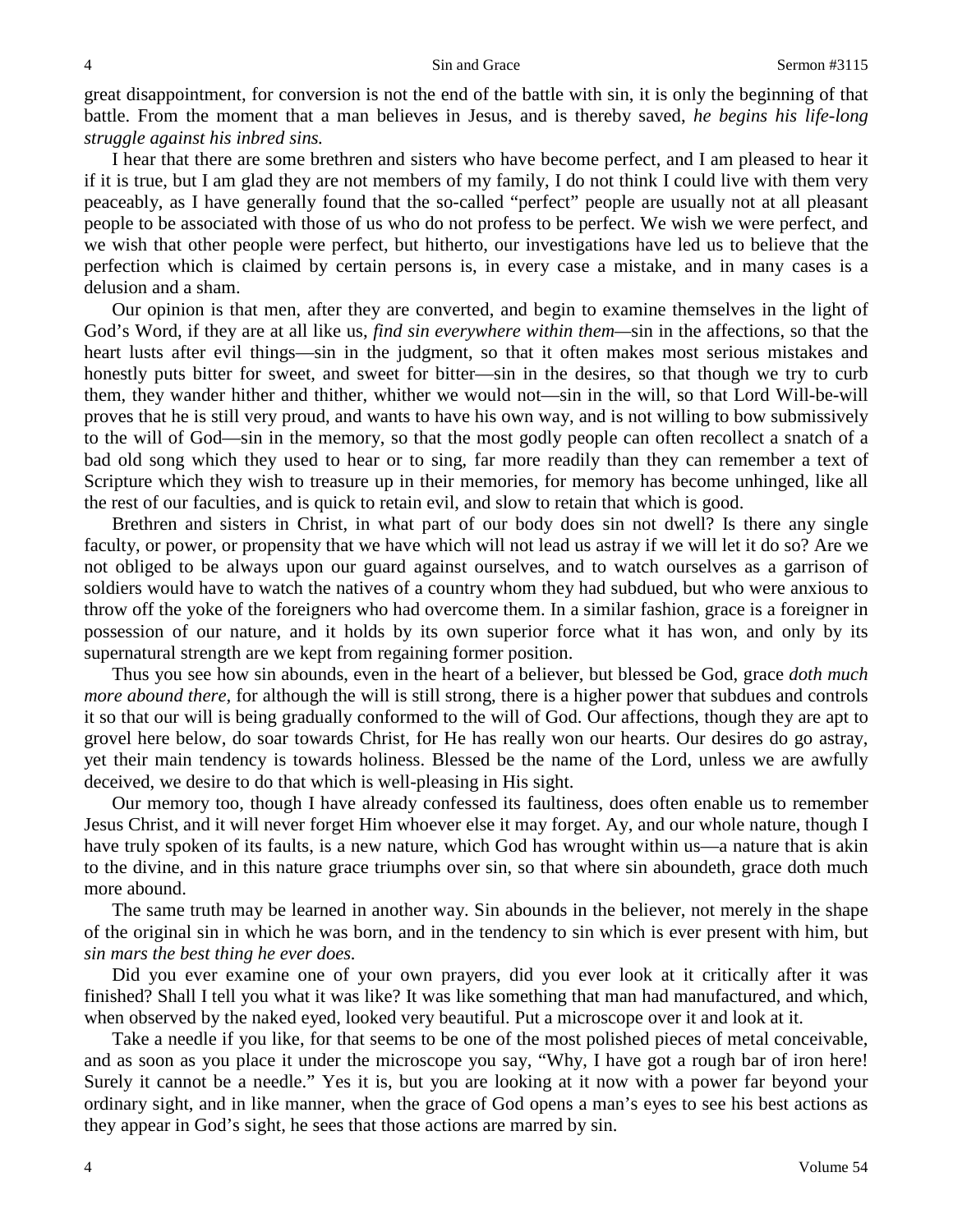great disappointment, for conversion is not the end of the battle with sin, it is only the beginning of that battle. From the moment that a man believes in Jesus, and is thereby saved, *he begins his life-long struggle against his inbred sins.* 

I hear that there are some brethren and sisters who have become perfect, and I am pleased to hear it if it is true, but I am glad they are not members of my family, I do not think I could live with them very peaceably, as I have generally found that the so-called "perfect" people are usually not at all pleasant people to be associated with those of us who do not profess to be perfect. We wish we were perfect, and we wish that other people were perfect, but hitherto, our investigations have led us to believe that the perfection which is claimed by certain persons is, in every case a mistake, and in many cases is a delusion and a sham.

Our opinion is that men, after they are converted, and begin to examine themselves in the light of God's Word, if they are at all like us, *find sin everywhere within them—*sin in the affections, so that the heart lusts after evil things—sin in the judgment, so that it often makes most serious mistakes and honestly puts bitter for sweet, and sweet for bitter—sin in the desires, so that though we try to curb them, they wander hither and thither, whither we would not—sin in the will, so that Lord Will-be-will proves that he is still very proud, and wants to have his own way, and is not willing to bow submissively to the will of God—sin in the memory, so that the most godly people can often recollect a snatch of a bad old song which they used to hear or to sing, far more readily than they can remember a text of Scripture which they wish to treasure up in their memories, for memory has become unhinged, like all the rest of our faculties, and is quick to retain evil, and slow to retain that which is good.

Brethren and sisters in Christ, in what part of our body does sin not dwell? Is there any single faculty, or power, or propensity that we have which will not lead us astray if we will let it do so? Are we not obliged to be always upon our guard against ourselves, and to watch ourselves as a garrison of soldiers would have to watch the natives of a country whom they had subdued, but who were anxious to throw off the yoke of the foreigners who had overcome them. In a similar fashion, grace is a foreigner in possession of our nature, and it holds by its own superior force what it has won, and only by its supernatural strength are we kept from regaining former position.

Thus you see how sin abounds, even in the heart of a believer, but blessed be God, grace *doth much more abound there,* for although the will is still strong, there is a higher power that subdues and controls it so that our will is being gradually conformed to the will of God. Our affections, though they are apt to grovel here below, do soar towards Christ, for He has really won our hearts. Our desires do go astray, yet their main tendency is towards holiness. Blessed be the name of the Lord, unless we are awfully deceived, we desire to do that which is well-pleasing in His sight.

Our memory too, though I have already confessed its faultiness, does often enable us to remember Jesus Christ, and it will never forget Him whoever else it may forget. Ay, and our whole nature, though I have truly spoken of its faults, is a new nature, which God has wrought within us—a nature that is akin to the divine, and in this nature grace triumphs over sin, so that where sin aboundeth, grace doth much more abound.

The same truth may be learned in another way. Sin abounds in the believer, not merely in the shape of the original sin in which he was born, and in the tendency to sin which is ever present with him, but *sin mars the best thing he ever does.* 

Did you ever examine one of your own prayers, did you ever look at it critically after it was finished? Shall I tell you what it was like? It was like something that man had manufactured, and which, when observed by the naked eyed, looked very beautiful. Put a microscope over it and look at it.

Take a needle if you like, for that seems to be one of the most polished pieces of metal conceivable, and as soon as you place it under the microscope you say, "Why, I have got a rough bar of iron here! Surely it cannot be a needle." Yes it is, but you are looking at it now with a power far beyond your ordinary sight, and in like manner, when the grace of God opens a man's eyes to see his best actions as they appear in God's sight, he sees that those actions are marred by sin.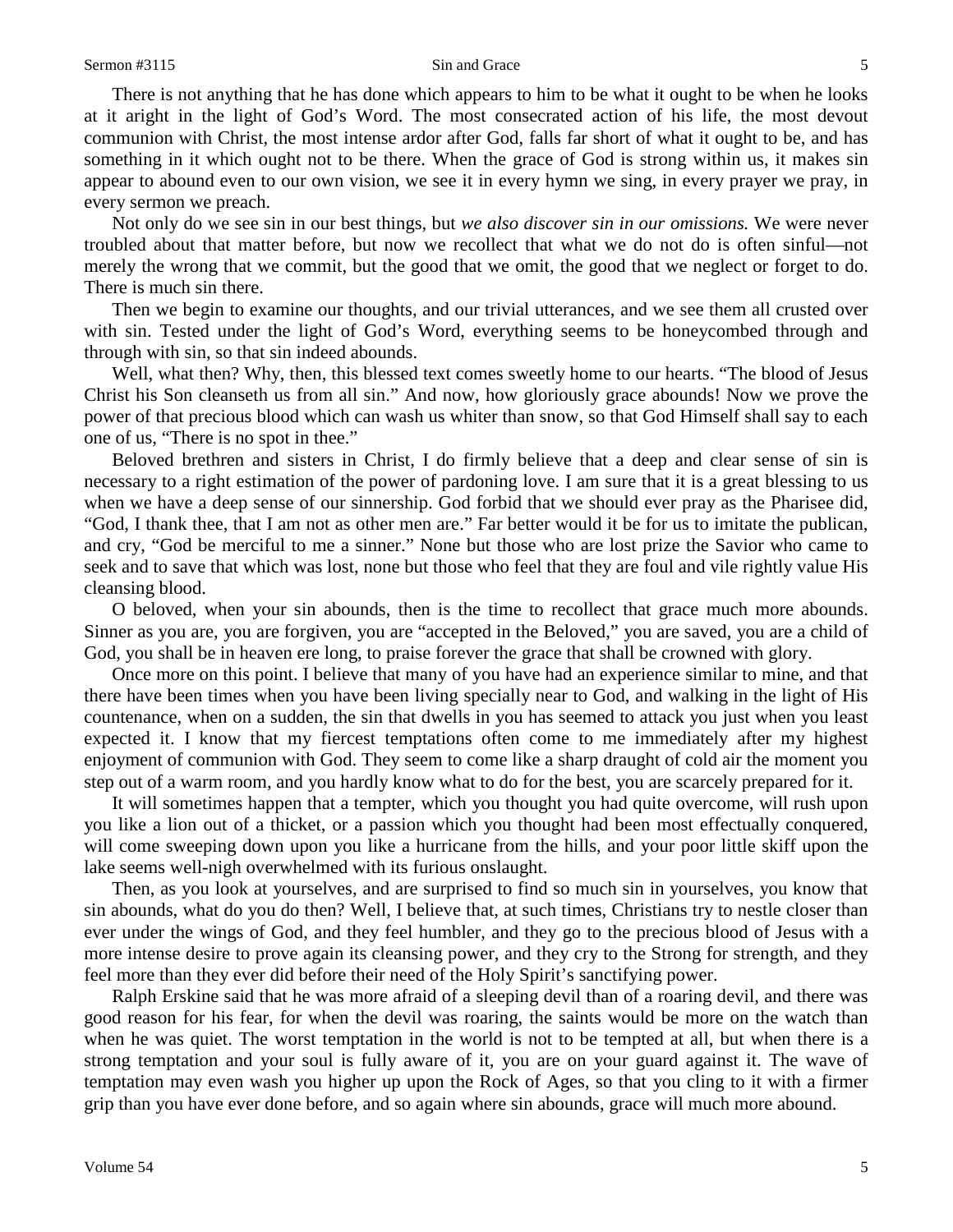There is not anything that he has done which appears to him to be what it ought to be when he looks at it aright in the light of God's Word. The most consecrated action of his life, the most devout communion with Christ, the most intense ardor after God, falls far short of what it ought to be, and has something in it which ought not to be there. When the grace of God is strong within us, it makes sin appear to abound even to our own vision, we see it in every hymn we sing, in every prayer we pray, in every sermon we preach.

Not only do we see sin in our best things, but *we also discover sin in our omissions.* We were never troubled about that matter before, but now we recollect that what we do not do is often sinful—not merely the wrong that we commit, but the good that we omit, the good that we neglect or forget to do. There is much sin there.

Then we begin to examine our thoughts, and our trivial utterances, and we see them all crusted over with sin. Tested under the light of God's Word, everything seems to be honeycombed through and through with sin, so that sin indeed abounds.

Well, what then? Why, then, this blessed text comes sweetly home to our hearts. "The blood of Jesus Christ his Son cleanseth us from all sin." And now, how gloriously grace abounds! Now we prove the power of that precious blood which can wash us whiter than snow, so that God Himself shall say to each one of us, "There is no spot in thee."

Beloved brethren and sisters in Christ, I do firmly believe that a deep and clear sense of sin is necessary to a right estimation of the power of pardoning love. I am sure that it is a great blessing to us when we have a deep sense of our sinnership. God forbid that we should ever pray as the Pharisee did, "God, I thank thee, that I am not as other men are." Far better would it be for us to imitate the publican, and cry, "God be merciful to me a sinner." None but those who are lost prize the Savior who came to seek and to save that which was lost, none but those who feel that they are foul and vile rightly value His cleansing blood.

O beloved, when your sin abounds, then is the time to recollect that grace much more abounds. Sinner as you are, you are forgiven, you are "accepted in the Beloved," you are saved, you are a child of God, you shall be in heaven ere long, to praise forever the grace that shall be crowned with glory.

Once more on this point. I believe that many of you have had an experience similar to mine, and that there have been times when you have been living specially near to God, and walking in the light of His countenance, when on a sudden, the sin that dwells in you has seemed to attack you just when you least expected it. I know that my fiercest temptations often come to me immediately after my highest enjoyment of communion with God. They seem to come like a sharp draught of cold air the moment you step out of a warm room, and you hardly know what to do for the best, you are scarcely prepared for it.

It will sometimes happen that a tempter, which you thought you had quite overcome, will rush upon you like a lion out of a thicket, or a passion which you thought had been most effectually conquered, will come sweeping down upon you like a hurricane from the hills, and your poor little skiff upon the lake seems well-nigh overwhelmed with its furious onslaught.

Then, as you look at yourselves, and are surprised to find so much sin in yourselves, you know that sin abounds, what do you do then? Well, I believe that, at such times, Christians try to nestle closer than ever under the wings of God, and they feel humbler, and they go to the precious blood of Jesus with a more intense desire to prove again its cleansing power, and they cry to the Strong for strength, and they feel more than they ever did before their need of the Holy Spirit's sanctifying power.

Ralph Erskine said that he was more afraid of a sleeping devil than of a roaring devil, and there was good reason for his fear, for when the devil was roaring, the saints would be more on the watch than when he was quiet. The worst temptation in the world is not to be tempted at all, but when there is a strong temptation and your soul is fully aware of it, you are on your guard against it. The wave of temptation may even wash you higher up upon the Rock of Ages, so that you cling to it with a firmer grip than you have ever done before, and so again where sin abounds, grace will much more abound.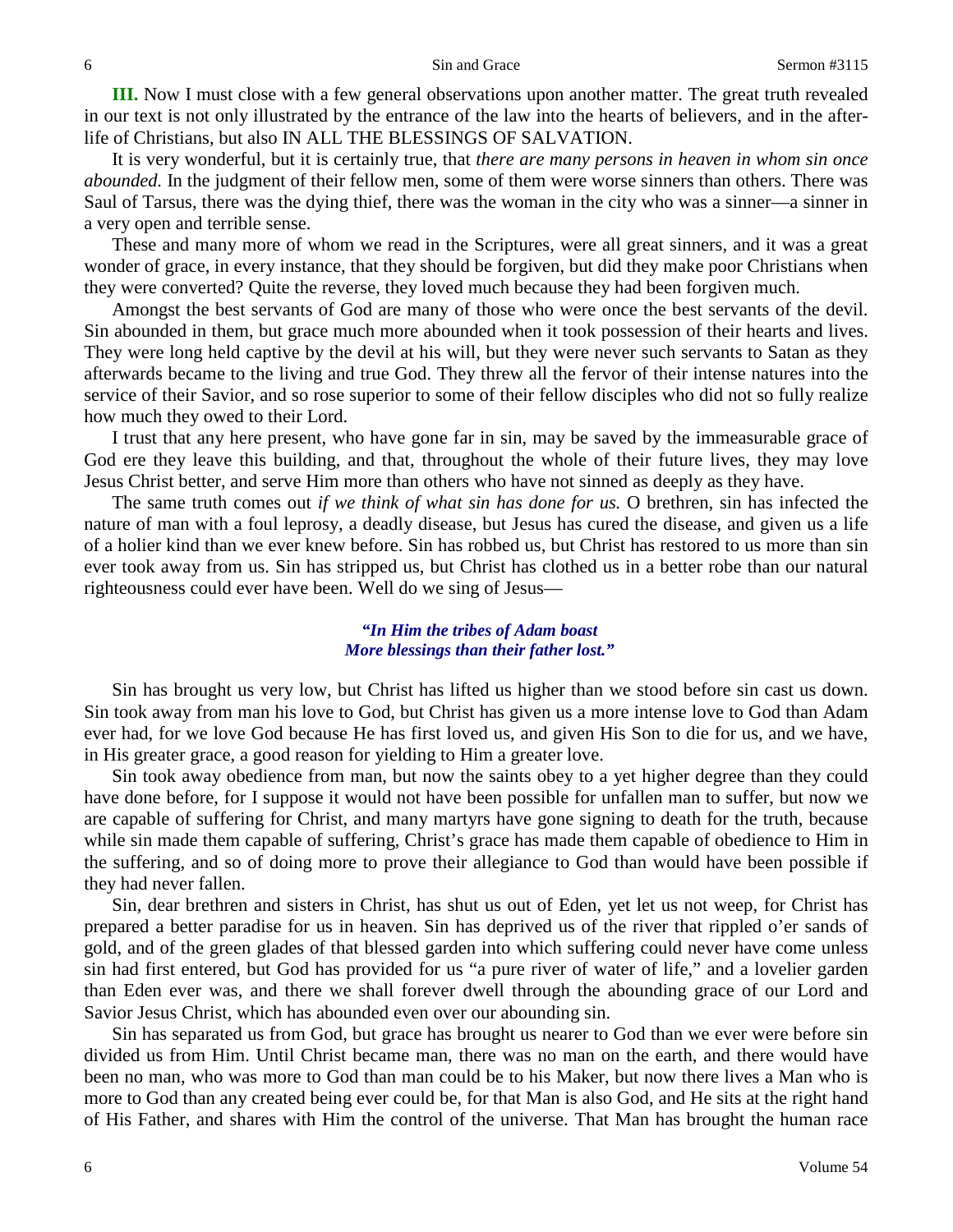**III.** Now I must close with a few general observations upon another matter. The great truth revealed in our text is not only illustrated by the entrance of the law into the hearts of believers, and in the afterlife of Christians, but also IN ALL THE BLESSINGS OF SALVATION.

It is very wonderful, but it is certainly true, that *there are many persons in heaven in whom sin once abounded.* In the judgment of their fellow men, some of them were worse sinners than others. There was Saul of Tarsus, there was the dying thief, there was the woman in the city who was a sinner—a sinner in a very open and terrible sense.

These and many more of whom we read in the Scriptures, were all great sinners, and it was a great wonder of grace, in every instance, that they should be forgiven, but did they make poor Christians when they were converted? Quite the reverse, they loved much because they had been forgiven much.

Amongst the best servants of God are many of those who were once the best servants of the devil. Sin abounded in them, but grace much more abounded when it took possession of their hearts and lives. They were long held captive by the devil at his will, but they were never such servants to Satan as they afterwards became to the living and true God. They threw all the fervor of their intense natures into the service of their Savior, and so rose superior to some of their fellow disciples who did not so fully realize how much they owed to their Lord.

I trust that any here present, who have gone far in sin, may be saved by the immeasurable grace of God ere they leave this building, and that, throughout the whole of their future lives, they may love Jesus Christ better, and serve Him more than others who have not sinned as deeply as they have.

The same truth comes out *if we think of what sin has done for us.* O brethren, sin has infected the nature of man with a foul leprosy, a deadly disease, but Jesus has cured the disease, and given us a life of a holier kind than we ever knew before. Sin has robbed us, but Christ has restored to us more than sin ever took away from us. Sin has stripped us, but Christ has clothed us in a better robe than our natural righteousness could ever have been. Well do we sing of Jesus—

#### *"In Him the tribes of Adam boast More blessings than their father lost."*

Sin has brought us very low, but Christ has lifted us higher than we stood before sin cast us down. Sin took away from man his love to God, but Christ has given us a more intense love to God than Adam ever had, for we love God because He has first loved us, and given His Son to die for us, and we have, in His greater grace, a good reason for yielding to Him a greater love.

Sin took away obedience from man, but now the saints obey to a yet higher degree than they could have done before, for I suppose it would not have been possible for unfallen man to suffer, but now we are capable of suffering for Christ, and many martyrs have gone signing to death for the truth, because while sin made them capable of suffering, Christ's grace has made them capable of obedience to Him in the suffering, and so of doing more to prove their allegiance to God than would have been possible if they had never fallen.

Sin, dear brethren and sisters in Christ, has shut us out of Eden, yet let us not weep, for Christ has prepared a better paradise for us in heaven. Sin has deprived us of the river that rippled o'er sands of gold, and of the green glades of that blessed garden into which suffering could never have come unless sin had first entered, but God has provided for us "a pure river of water of life," and a lovelier garden than Eden ever was, and there we shall forever dwell through the abounding grace of our Lord and Savior Jesus Christ, which has abounded even over our abounding sin.

Sin has separated us from God, but grace has brought us nearer to God than we ever were before sin divided us from Him. Until Christ became man, there was no man on the earth, and there would have been no man, who was more to God than man could be to his Maker, but now there lives a Man who is more to God than any created being ever could be, for that Man is also God, and He sits at the right hand of His Father, and shares with Him the control of the universe. That Man has brought the human race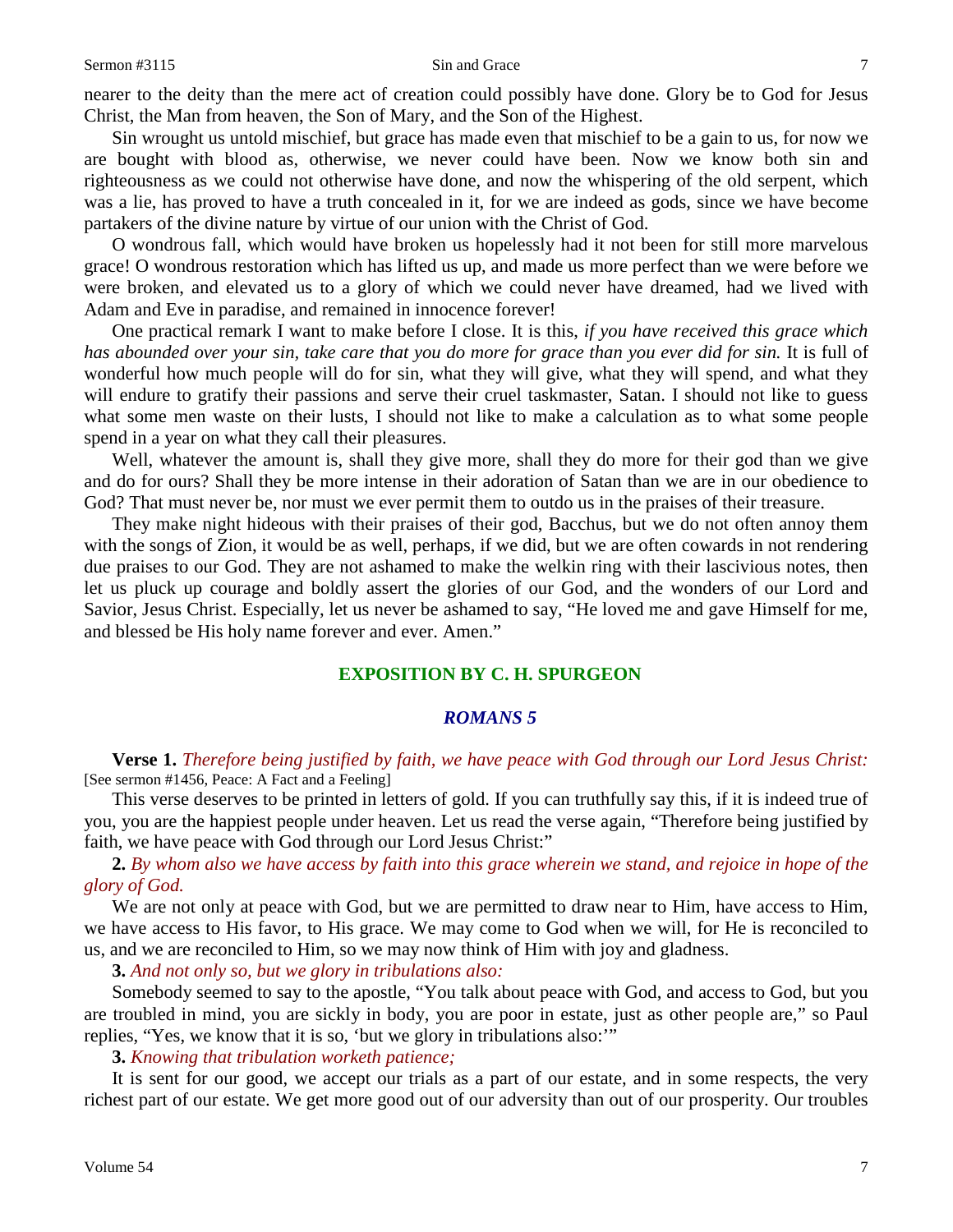Sin wrought us untold mischief, but grace has made even that mischief to be a gain to us, for now we are bought with blood as, otherwise, we never could have been. Now we know both sin and righteousness as we could not otherwise have done, and now the whispering of the old serpent, which was a lie, has proved to have a truth concealed in it, for we are indeed as gods, since we have become partakers of the divine nature by virtue of our union with the Christ of God.

O wondrous fall, which would have broken us hopelessly had it not been for still more marvelous grace! O wondrous restoration which has lifted us up, and made us more perfect than we were before we were broken, and elevated us to a glory of which we could never have dreamed, had we lived with Adam and Eve in paradise, and remained in innocence forever!

One practical remark I want to make before I close. It is this, *if you have received this grace which has abounded over your sin, take care that you do more for grace than you ever did for sin.* It is full of wonderful how much people will do for sin, what they will give, what they will spend, and what they will endure to gratify their passions and serve their cruel taskmaster, Satan. I should not like to guess what some men waste on their lusts, I should not like to make a calculation as to what some people spend in a year on what they call their pleasures.

Well, whatever the amount is, shall they give more, shall they do more for their god than we give and do for ours? Shall they be more intense in their adoration of Satan than we are in our obedience to God? That must never be, nor must we ever permit them to outdo us in the praises of their treasure.

They make night hideous with their praises of their god, Bacchus, but we do not often annoy them with the songs of Zion, it would be as well, perhaps, if we did, but we are often cowards in not rendering due praises to our God. They are not ashamed to make the welkin ring with their lascivious notes, then let us pluck up courage and boldly assert the glories of our God, and the wonders of our Lord and Savior, Jesus Christ. Especially, let us never be ashamed to say, "He loved me and gave Himself for me, and blessed be His holy name forever and ever. Amen."

#### **EXPOSITION BY C. H. SPURGEON**

#### *ROMANS 5*

**Verse 1.** *Therefore being justified by faith, we have peace with God through our Lord Jesus Christ:*  [See sermon #1456, Peace: A Fact and a Feeling]

This verse deserves to be printed in letters of gold. If you can truthfully say this, if it is indeed true of you, you are the happiest people under heaven. Let us read the verse again, "Therefore being justified by faith, we have peace with God through our Lord Jesus Christ:"

**2.** *By whom also we have access by faith into this grace wherein we stand, and rejoice in hope of the glory of God.*

We are not only at peace with God, but we are permitted to draw near to Him, have access to Him, we have access to His favor, to His grace. We may come to God when we will, for He is reconciled to us, and we are reconciled to Him, so we may now think of Him with joy and gladness.

**3.** *And not only so, but we glory in tribulations also:*

Somebody seemed to say to the apostle, "You talk about peace with God, and access to God, but you are troubled in mind, you are sickly in body, you are poor in estate, just as other people are," so Paul replies, "Yes, we know that it is so, 'but we glory in tribulations also:'"

**3.** *Knowing that tribulation worketh patience;*

It is sent for our good, we accept our trials as a part of our estate, and in some respects, the very richest part of our estate. We get more good out of our adversity than out of our prosperity. Our troubles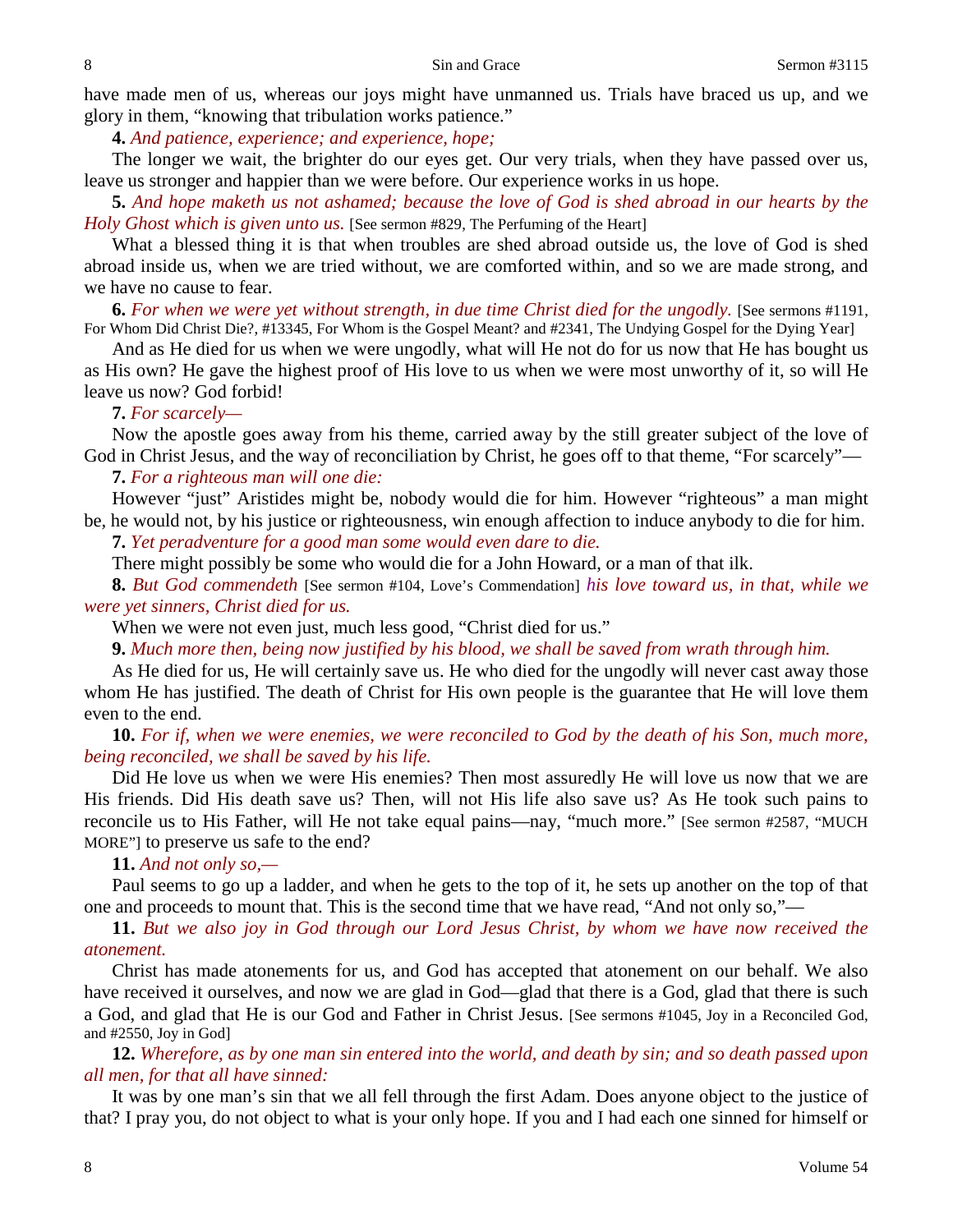have made men of us, whereas our joys might have unmanned us. Trials have braced us up, and we glory in them, "knowing that tribulation works patience."

**4.** *And patience, experience; and experience, hope;*

The longer we wait, the brighter do our eyes get. Our very trials, when they have passed over us, leave us stronger and happier than we were before. Our experience works in us hope.

**5.** *And hope maketh us not ashamed; because the love of God is shed abroad in our hearts by the Holy Ghost which is given unto us.* [See sermon #829, The Perfuming of the Heart]

What a blessed thing it is that when troubles are shed abroad outside us, the love of God is shed abroad inside us, when we are tried without, we are comforted within, and so we are made strong, and we have no cause to fear.

**6.** *For when we were yet without strength, in due time Christ died for the ungodly.* [See sermons #1191, For Whom Did Christ Die?, #13345, For Whom is the Gospel Meant? and #2341, The Undying Gospel for the Dying Year]

And as He died for us when we were ungodly, what will He not do for us now that He has bought us as His own? He gave the highest proof of His love to us when we were most unworthy of it, so will He leave us now? God forbid!

### **7.** *For scarcely—*

Now the apostle goes away from his theme, carried away by the still greater subject of the love of God in Christ Jesus, and the way of reconciliation by Christ, he goes off to that theme, "For scarcely"—

### **7.** *For a righteous man will one die:*

However "just" Aristides might be, nobody would die for him. However "righteous" a man might be, he would not, by his justice or righteousness, win enough affection to induce anybody to die for him.

**7.** *Yet peradventure for a good man some would even dare to die.*

There might possibly be some who would die for a John Howard, or a man of that ilk.

**8.** *But God commendeth* [See sermon #104, Love's Commendation] *his love toward us, in that, while we were yet sinners, Christ died for us.*

When we were not even just, much less good, "Christ died for us."

**9.** *Much more then, being now justified by his blood, we shall be saved from wrath through him.*

As He died for us, He will certainly save us. He who died for the ungodly will never cast away those whom He has justified. The death of Christ for His own people is the guarantee that He will love them even to the end.

**10.** *For if, when we were enemies, we were reconciled to God by the death of his Son, much more, being reconciled, we shall be saved by his life.*

Did He love us when we were His enemies? Then most assuredly He will love us now that we are His friends. Did His death save us? Then, will not His life also save us? As He took such pains to reconcile us to His Father, will He not take equal pains—nay, "much more." [See sermon #2587, "MUCH MORE"] to preserve us safe to the end?

# **11.** *And not only so,—*

Paul seems to go up a ladder, and when he gets to the top of it, he sets up another on the top of that one and proceeds to mount that. This is the second time that we have read, "And not only so,"—

**11.** *But we also joy in God through our Lord Jesus Christ, by whom we have now received the atonement.*

Christ has made atonements for us, and God has accepted that atonement on our behalf. We also have received it ourselves, and now we are glad in God—glad that there is a God, glad that there is such a God, and glad that He is our God and Father in Christ Jesus. [See sermons #1045, Joy in a Reconciled God, and #2550, Joy in God]

**12.** *Wherefore, as by one man sin entered into the world, and death by sin; and so death passed upon all men, for that all have sinned:*

It was by one man's sin that we all fell through the first Adam. Does anyone object to the justice of that? I pray you, do not object to what is your only hope. If you and I had each one sinned for himself or